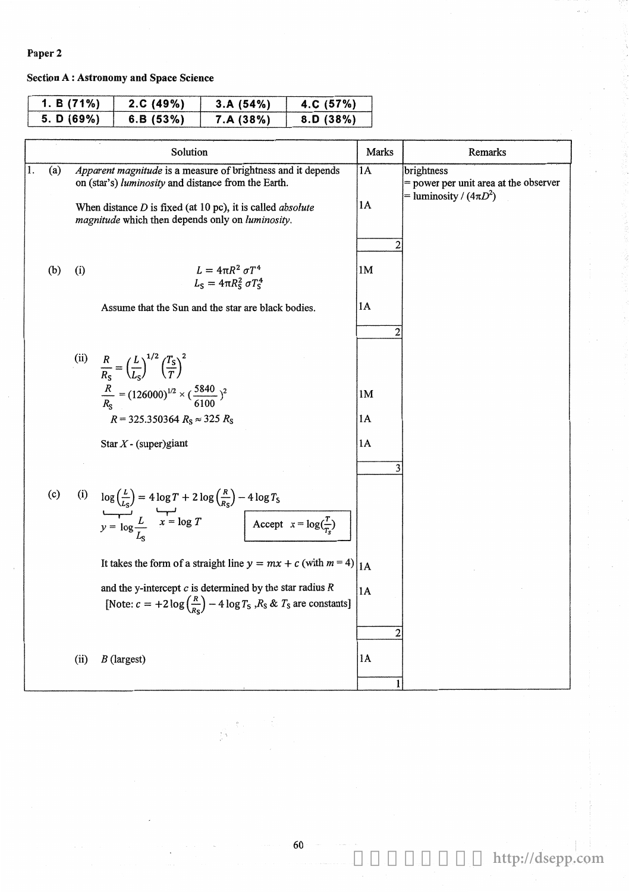## Paper 2

## **Section A: Astronomy and Space Science**

| 1. B $(71\%)$ | 2.C. (49%) | 3.A(54%)  | 4.C $(57%)$ |
|---------------|------------|-----------|-------------|
| 5. D(69%)     | 6.B(53%)   | 7.A (38%) | 8.D(38%)    |

|     |                                                                                                                                                                                                                                                | Solution                                                                                                                                                                                                           | Marks                      | Remarks                                                                            |
|-----|------------------------------------------------------------------------------------------------------------------------------------------------------------------------------------------------------------------------------------------------|--------------------------------------------------------------------------------------------------------------------------------------------------------------------------------------------------------------------|----------------------------|------------------------------------------------------------------------------------|
| (a) | Apparent magnitude is a measure of brightness and it depends<br>on (star's) luminosity and distance from the Earth.<br>When distance $D$ is fixed (at 10 pc), it is called <i>absolute</i><br>magnitude which then depends only on luminosity. |                                                                                                                                                                                                                    | $1\overline{A}$<br>1A<br>2 | brightness<br>= power per unit area at the observer<br>= luminosity / $(4\pi D^2)$ |
| (b) | (i)                                                                                                                                                                                                                                            | $L = 4\pi R^2 \sigma T^4$<br>$L_{\rm S} = 4\pi R_{\rm S}^2 \sigma T_{\rm S}^4$                                                                                                                                     | 1M                         |                                                                                    |
|     |                                                                                                                                                                                                                                                | Assume that the Sun and the star are black bodies.                                                                                                                                                                 | 1A<br>2                    |                                                                                    |
|     |                                                                                                                                                                                                                                                | (ii) $\frac{R}{R_s} = \left(\frac{L}{L_s}\right)^{1/2} \left(\frac{T_s}{T}\right)^2$                                                                                                                               |                            |                                                                                    |
|     |                                                                                                                                                                                                                                                | $\frac{R}{R_c} = (126000)^{1/2} \times (\frac{5840}{6100})^2$<br>$R = 325.350364 R_S \approx 325 R_S$                                                                                                              | 1M<br>1A                   |                                                                                    |
|     |                                                                                                                                                                                                                                                | Star $X$ - (super)giant                                                                                                                                                                                            | 1A                         |                                                                                    |
|     |                                                                                                                                                                                                                                                |                                                                                                                                                                                                                    | 3                          |                                                                                    |
| (c) |                                                                                                                                                                                                                                                | (i) $\log \left(\frac{L}{L_S}\right) = 4 \log T + 2 \log \left(\frac{R}{R_S}\right) - 4 \log T_S$<br>$y = \log \frac{L}{L_S}$ $x = \log T$ $\left[\frac{(\text{Reg})}{\text{Accept}}\right] = \log(\frac{T}{T_S})$ |                            |                                                                                    |
|     |                                                                                                                                                                                                                                                | It takes the form of a straight line $y = mx + c$ (with $m = 4$ )                                                                                                                                                  | 1A                         |                                                                                    |
|     |                                                                                                                                                                                                                                                | and the y-intercept $c$ is determined by the star radius $R$<br>[Note: $c = +2 \log \left(\frac{R}{R_S}\right) - 4 \log T_S$ , $R_S \& T_S$ are constants]                                                         | 1A                         |                                                                                    |
|     | (ii)                                                                                                                                                                                                                                           | $B$ (largest)                                                                                                                                                                                                      | 2<br>1A                    |                                                                                    |

60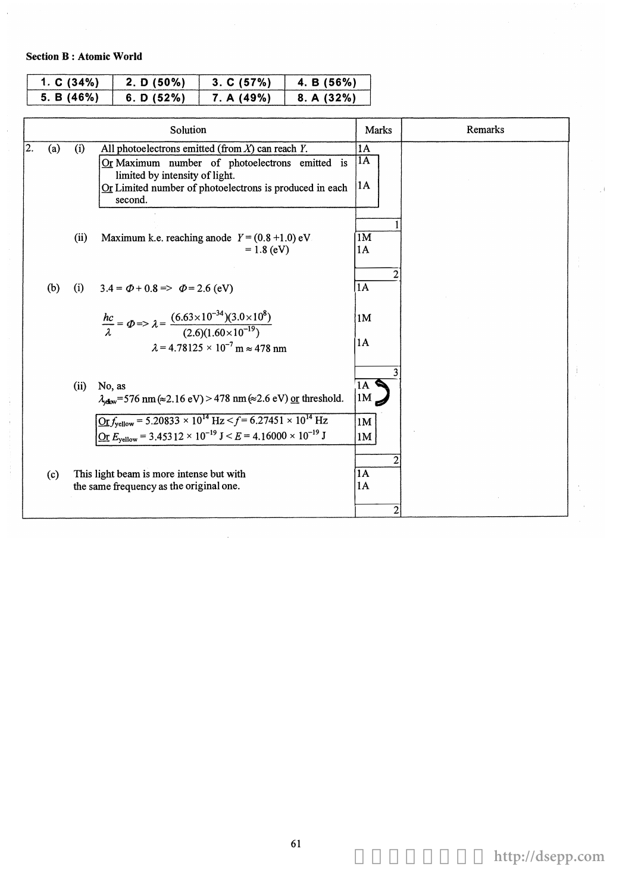## Section B: Atomic World

| 1. $C(34%)$ | 2. D (50%) | 3. C (57%) | 4. B (56%) |
|-------------|------------|------------|------------|
| 5. B(46%)   | 6. D (52%) | 7. A (49%) | 8. A (32%) |

|    |     |      | Solution                                                                                                                                                                                                                                                                                                                           | <b>Marks</b>         | Remarks |
|----|-----|------|------------------------------------------------------------------------------------------------------------------------------------------------------------------------------------------------------------------------------------------------------------------------------------------------------------------------------------|----------------------|---------|
| 2. | (a) | (i)  | All photoelectrons emitted (from $X$ ) can reach $Y$ .<br>Or Maximum number of photoelectrons emitted is<br>limited by intensity of light.<br>Or Limited number of photoelectrons is produced in each<br>second.                                                                                                                   | 1A<br>1A<br>1A       |         |
|    |     | (ii) | Maximum k.e. reaching anode $Y = (0.8 + 1.0)$ eV<br>$= 1.8$ (eV)                                                                                                                                                                                                                                                                   | 1M<br>1A             |         |
|    | (b) | (i)  | $3.4 = \Phi + 0.8 \Rightarrow \Phi = 2.6$ (eV)<br>$\frac{hc}{\lambda} = \Phi \Rightarrow \lambda = \frac{(6.63 \times 10^{-34})(3.0 \times 10^8)}{(2.6)(1.60 \times 10^{-19})}$<br>$\lambda$ = 4.78125 × 10 <sup>-7</sup> m $\approx$ 478 nm                                                                                       | 1A<br>1M<br>1A       |         |
|    |     | (ii) | No, as<br>$\lambda_{\rm obs}$ =576 nm ( $\approx$ 2.16 eV) > 478 nm ( $\approx$ 2.6 eV) or threshold.<br>$\frac{\text{Or } f_{\text{yellow}} = 5.20833 \times 10^{14} \text{ Hz} < f = 6.27451 \times 10^{14} \text{ Hz}}{g}$<br><u>Or</u> $E_{\text{yellow}}$ = 3.45312 × 10 <sup>-19</sup> J < E = 4.16000 × 10 <sup>-19</sup> J | 1A<br>1M<br>1M<br>1M |         |
|    | (c) |      | This light beam is more intense but with<br>the same frequency as the original one.                                                                                                                                                                                                                                                | 1A<br>1A<br>2        |         |

 $\bar{z}$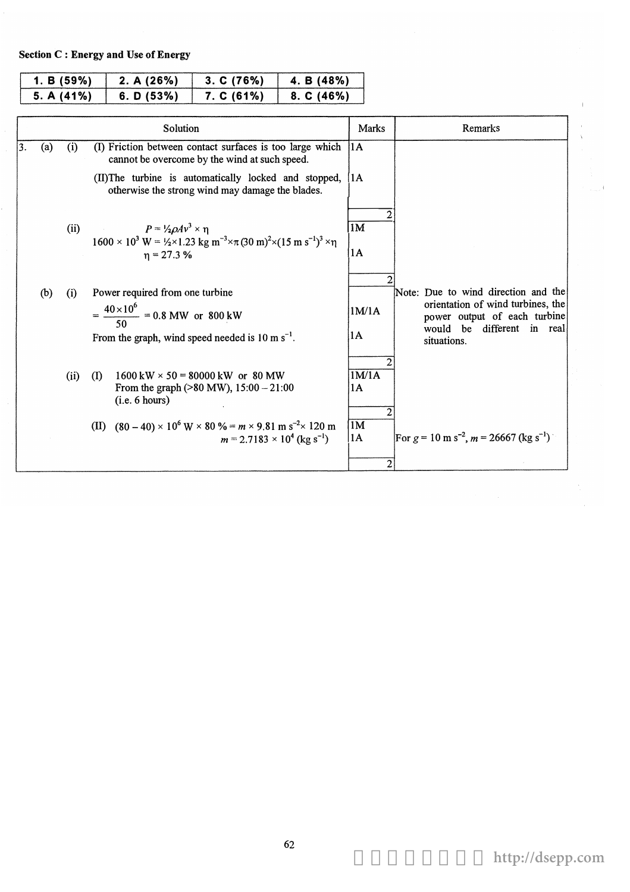Section C : Energy and Use of Energy

| 1. B $(59\%)$ | 2. A(26%)  | 3. C (76%) | 4. B (48%) |
|---------------|------------|------------|------------|
| 5. A $(41\%)$ | 6. D (53%) | 7. C(61%)  | 8. C (46%) |

|    |     |      | Solution                                                                                                                                                                                                                  | Marks                    | Remarks                                                                                                                                                  |
|----|-----|------|---------------------------------------------------------------------------------------------------------------------------------------------------------------------------------------------------------------------------|--------------------------|----------------------------------------------------------------------------------------------------------------------------------------------------------|
| 3. | (a) | (i)  | (I) Friction between contact surfaces is too large which<br>cannot be overcome by the wind at such speed.                                                                                                                 | 1A                       |                                                                                                                                                          |
|    |     |      | (II) The turbine is automatically locked and stopped,<br>otherwise the strong wind may damage the blades.                                                                                                                 | $\mathbf{11} \mathbf{A}$ |                                                                                                                                                          |
|    |     |      | $P = \frac{1}{2} \rho A v^3 \times \eta$<br>(ii)<br>$1600 \times 10^{3}$ W = $\frac{1}{2} \times 1.23$ kg m <sup>-3</sup> $\times \pi (30 \text{ m})^{2} \times (15 \text{ m s}^{-1})^{3} \times \eta$<br>$\eta$ = 27.3 % | 1M<br>11 A               |                                                                                                                                                          |
|    | (b) | (i)  | Power required from one turbine<br>$=\frac{40\times10^6}{50} = 0.8 \text{ MW} \text{ or } 800 \text{ kW}$<br>From the graph, wind speed needed is 10 m $s^{-1}$ .                                                         | 1M/1A<br>1A              | Note: Due to wind direction and the<br>orientation of wind turbines, the<br>power output of each turbine<br>would be<br>different in real<br>situations. |
|    |     | (ii) | $1600 \text{ kW} \times 50 = 80000 \text{ kW}$ or 80 MW<br>$($ I<br>From the graph ( $>80$ MW), $15:00 - 21:00$<br>(i.e. 6 hours)                                                                                         | 1M/1A<br>1A              |                                                                                                                                                          |
|    |     |      | (II) $(80-40) \times 10^6$ W × 80 % = $m \times 9.81$ m s <sup>-2</sup> × 120 m<br>$m = 2.7183 \times 10^4$ (kg s <sup>-1</sup> )                                                                                         | 1M<br> 1A<br>2           | For $g = 10 \text{ m s}^{-2}$ , $m = 26667 \text{ (kg s}^{-1})$                                                                                          |

 $\bar{1}$